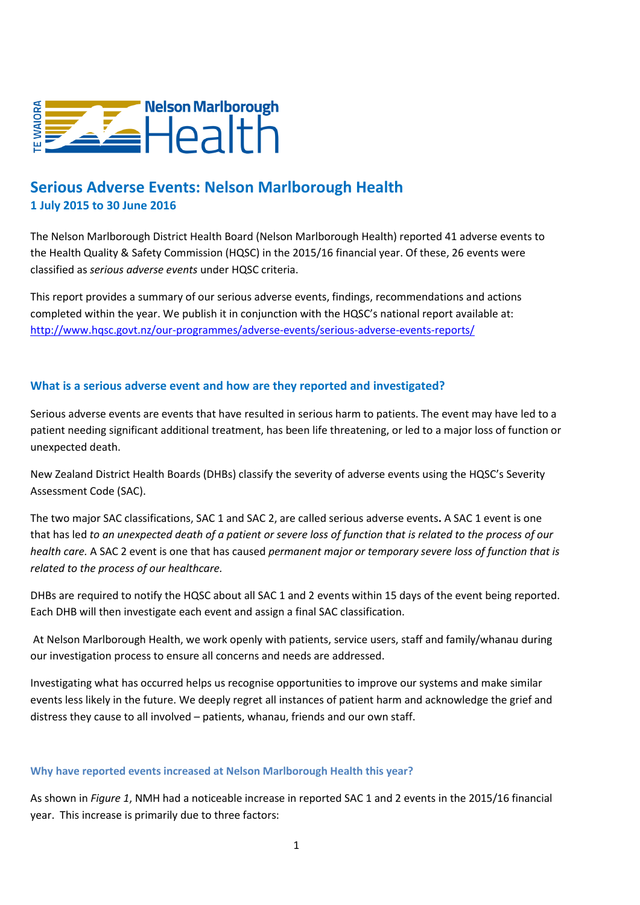

# **Serious Adverse Events: Nelson Marlborough Health 1 July 2015 to 30 June 2016**

The Nelson Marlborough District Health Board (Nelson Marlborough Health) reported 41 adverse events to the Health Quality & Safety Commission (HQSC) in the 2015/16 financial year. Of these, 26 events were classified as *serious adverse events* under HQSC criteria.

This report provides a summary of our serious adverse events, findings, recommendations and actions completed within the year. We publish it in conjunction with the HQSC's national report available at: <http://www.hqsc.govt.nz/our-programmes/adverse-events/serious-adverse-events-reports/>

### **What is a serious adverse event and how are they reported and investigated?**

Serious adverse events are events that have resulted in serious harm to patients. The event may have led to a patient needing significant additional treatment, has been life threatening, or led to a major loss of function or unexpected death.

New Zealand District Health Boards (DHBs) classify the severity of adverse events using the HQSC's Severity Assessment Code (SAC).

The two major SAC classifications, SAC 1 and SAC 2, are called serious adverse events**.** A SAC 1 event is one that has led *to an unexpected death of a patient or severe loss of function that is related to the process of our health care.* A SAC 2 event is one that has caused *permanent major or temporary severe loss of function that is related to the process of our healthcare.*

DHBs are required to notify the HQSC about all SAC 1 and 2 events within 15 days of the event being reported. Each DHB will then investigate each event and assign a final SAC classification.

At Nelson Marlborough Health, we work openly with patients, service users, staff and family/whanau during our investigation process to ensure all concerns and needs are addressed.

Investigating what has occurred helps us recognise opportunities to improve our systems and make similar events less likely in the future. We deeply regret all instances of patient harm and acknowledge the grief and distress they cause to all involved – patients, whanau, friends and our own staff.

#### **Why have reported events increased at Nelson Marlborough Health this year?**

As shown in *Figure 1*, NMH had a noticeable increase in reported SAC 1 and 2 events in the 2015/16 financial year. This increase is primarily due to three factors: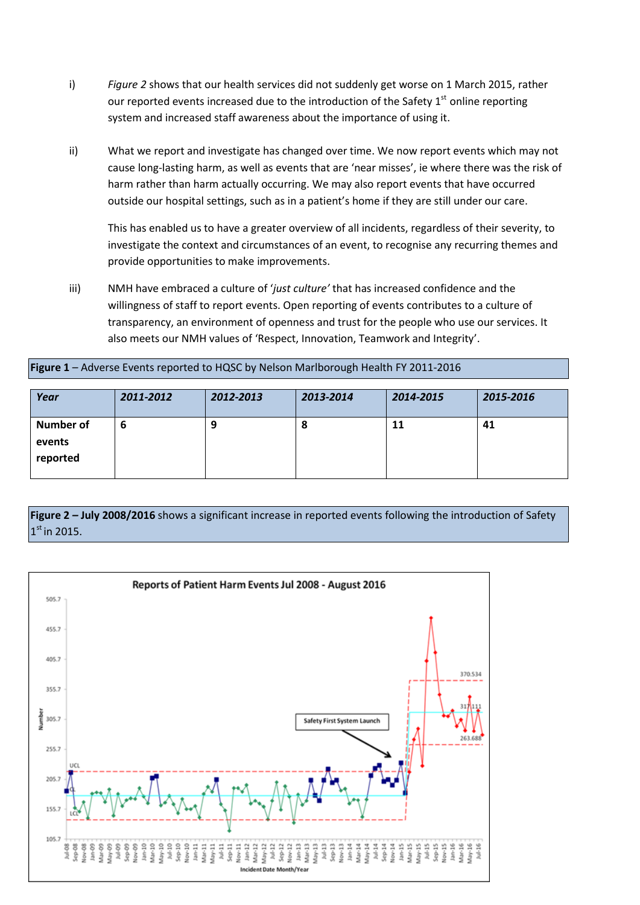- i) *Figure 2* shows that our health services did not suddenly get worse on 1 March 2015, rather our reported events increased due to the introduction of the Safety  $1<sup>st</sup>$  online reporting system and increased staff awareness about the importance of using it.
- ii) What we report and investigate has changed over time. We now report events which may not cause long-lasting harm, as well as events that are 'near misses', ie where there was the risk of harm rather than harm actually occurring. We may also report events that have occurred outside our hospital settings, such as in a patient's home if they are still under our care.

This has enabled us to have a greater overview of all incidents, regardless of their severity, to investigate the context and circumstances of an event, to recognise any recurring themes and provide opportunities to make improvements.

iii) NMH have embraced a culture of '*just culture'* that has increased confidence and the willingness of staff to report events. Open reporting of events contributes to a culture of transparency, an environment of openness and trust for the people who use our services. It also meets our NMH values of 'Respect, Innovation, Teamwork and Integrity'.

#### **Figure 1** – Adverse Events reported to HQSC by Nelson Marlborough Health FY 2011-2016

| Year                                   | 2011-2012 | 2012-2013 | 2013-2014 | 2014-2015 | 2015-2016 |
|----------------------------------------|-----------|-----------|-----------|-----------|-----------|
| <b>Number of</b><br>events<br>reported |           |           | o         | 11        | 41        |

### **Figure 2** *–* **July 2008/2016** shows a significant increase in reported events following the introduction of Safety  $1<sup>st</sup>$  in 2015.

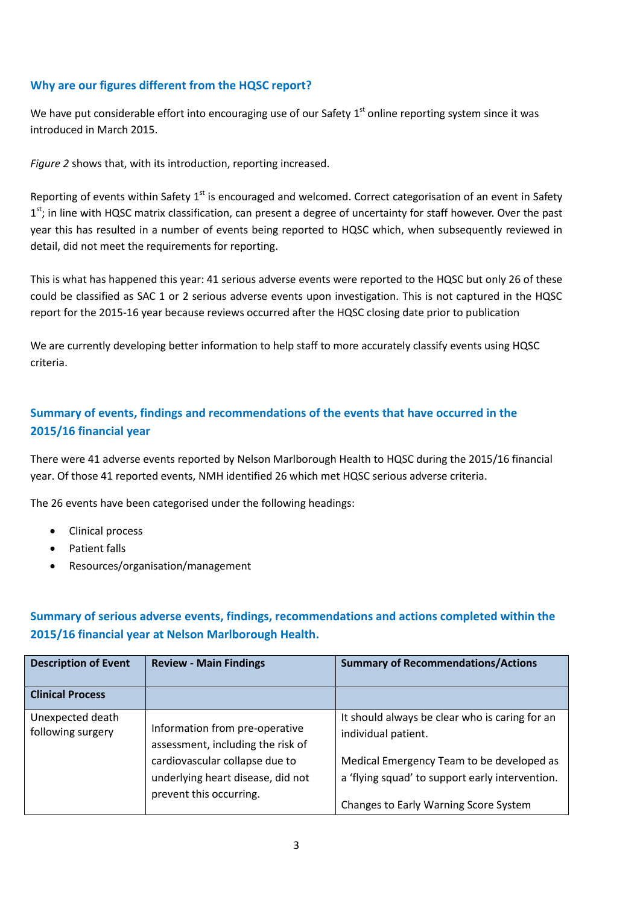### **Why are our figures different from the HQSC report?**

We have put considerable effort into encouraging use of our Safety  $1<sup>st</sup>$  online reporting system since it was introduced in March 2015.

*Figure 2* shows that, with its introduction, reporting increased.

Reporting of events within Safety 1<sup>st</sup> is encouraged and welcomed. Correct categorisation of an event in Safety 1<sup>st</sup>; in line with HQSC matrix classification, can present a degree of uncertainty for staff however. Over the past year this has resulted in a number of events being reported to HQSC which, when subsequently reviewed in detail, did not meet the requirements for reporting.

This is what has happened this year: 41 serious adverse events were reported to the HQSC but only 26 of these could be classified as SAC 1 or 2 serious adverse events upon investigation. This is not captured in the HQSC report for the 2015-16 year because reviews occurred after the HQSC closing date prior to publication

We are currently developing better information to help staff to more accurately classify events using HQSC criteria.

# **Summary of events, findings and recommendations of the events that have occurred in the 2015/16 financial year**

There were 41 adverse events reported by Nelson Marlborough Health to HQSC during the 2015/16 financial year. Of those 41 reported events, NMH identified 26 which met HQSC serious adverse criteria.

The 26 events have been categorised under the following headings:

- Clinical process
- Patient falls
- Resources/organisation/management

# **Summary of serious adverse events, findings, recommendations and actions completed within the 2015/16 financial year at Nelson Marlborough Health.**

| <b>Description of Event</b>           | <b>Review - Main Findings</b>                                                                  | <b>Summary of Recommendations/Actions</b>                                                                                             |
|---------------------------------------|------------------------------------------------------------------------------------------------|---------------------------------------------------------------------------------------------------------------------------------------|
| <b>Clinical Process</b>               |                                                                                                |                                                                                                                                       |
| Unexpected death<br>following surgery | Information from pre-operative<br>assessment, including the risk of                            | It should always be clear who is caring for an<br>individual patient.                                                                 |
|                                       | cardiovascular collapse due to<br>underlying heart disease, did not<br>prevent this occurring. | Medical Emergency Team to be developed as<br>a 'flying squad' to support early intervention.<br>Changes to Early Warning Score System |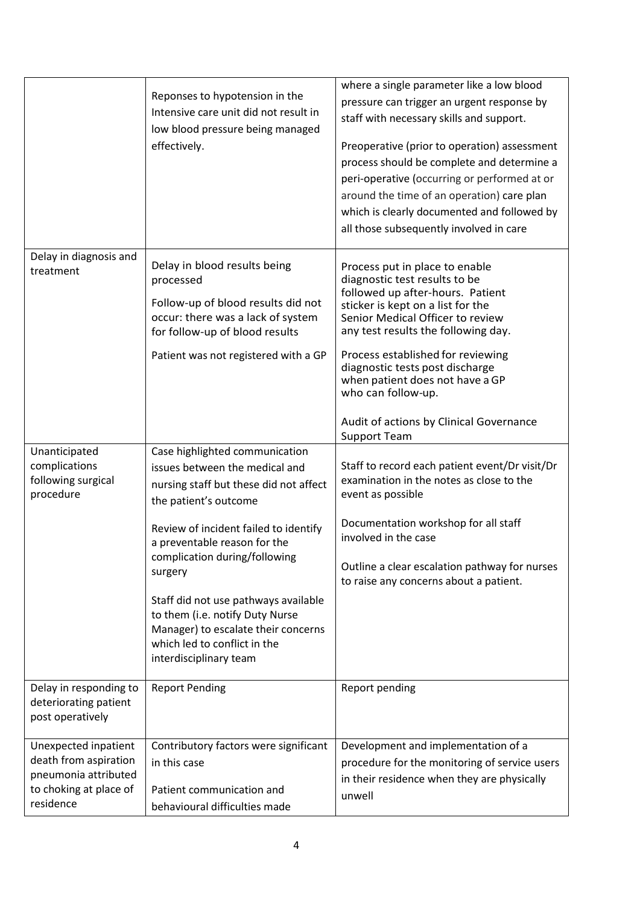|                                                                                                              | Reponses to hypotension in the<br>Intensive care unit did not result in<br>low blood pressure being managed<br>effectively.                                                                                                                                                                                                                                                                                                          | where a single parameter like a low blood<br>pressure can trigger an urgent response by<br>staff with necessary skills and support.<br>Preoperative (prior to operation) assessment<br>process should be complete and determine a<br>peri-operative (occurring or performed at or<br>around the time of an operation) care plan<br>which is clearly documented and followed by<br>all those subsequently involved in care |
|--------------------------------------------------------------------------------------------------------------|--------------------------------------------------------------------------------------------------------------------------------------------------------------------------------------------------------------------------------------------------------------------------------------------------------------------------------------------------------------------------------------------------------------------------------------|---------------------------------------------------------------------------------------------------------------------------------------------------------------------------------------------------------------------------------------------------------------------------------------------------------------------------------------------------------------------------------------------------------------------------|
| Delay in diagnosis and<br>treatment                                                                          | Delay in blood results being<br>processed<br>Follow-up of blood results did not<br>occur: there was a lack of system<br>for follow-up of blood results<br>Patient was not registered with a GP                                                                                                                                                                                                                                       | Process put in place to enable<br>diagnostic test results to be<br>followed up after-hours. Patient<br>sticker is kept on a list for the<br>Senior Medical Officer to review<br>any test results the following day.<br>Process established for reviewing<br>diagnostic tests post discharge<br>when patient does not have a GP<br>who can follow-up.<br>Audit of actions by Clinical Governance<br><b>Support Team</b>    |
| Unanticipated<br>complications<br>following surgical<br>procedure                                            | Case highlighted communication<br>issues between the medical and<br>nursing staff but these did not affect<br>the patient's outcome<br>Review of incident failed to identify<br>a preventable reason for the<br>complication during/following<br>surgery<br>Staff did not use pathways available<br>to them (i.e. notify Duty Nurse<br>Manager) to escalate their concerns<br>which led to conflict in the<br>interdisciplinary team | Staff to record each patient event/Dr visit/Dr<br>examination in the notes as close to the<br>event as possible<br>Documentation workshop for all staff<br>involved in the case<br>Outline a clear escalation pathway for nurses<br>to raise any concerns about a patient.                                                                                                                                                |
| Delay in responding to<br>deteriorating patient<br>post operatively                                          | <b>Report Pending</b>                                                                                                                                                                                                                                                                                                                                                                                                                | Report pending                                                                                                                                                                                                                                                                                                                                                                                                            |
| Unexpected inpatient<br>death from aspiration<br>pneumonia attributed<br>to choking at place of<br>residence | Contributory factors were significant<br>in this case<br>Patient communication and<br>behavioural difficulties made                                                                                                                                                                                                                                                                                                                  | Development and implementation of a<br>procedure for the monitoring of service users<br>in their residence when they are physically<br>unwell                                                                                                                                                                                                                                                                             |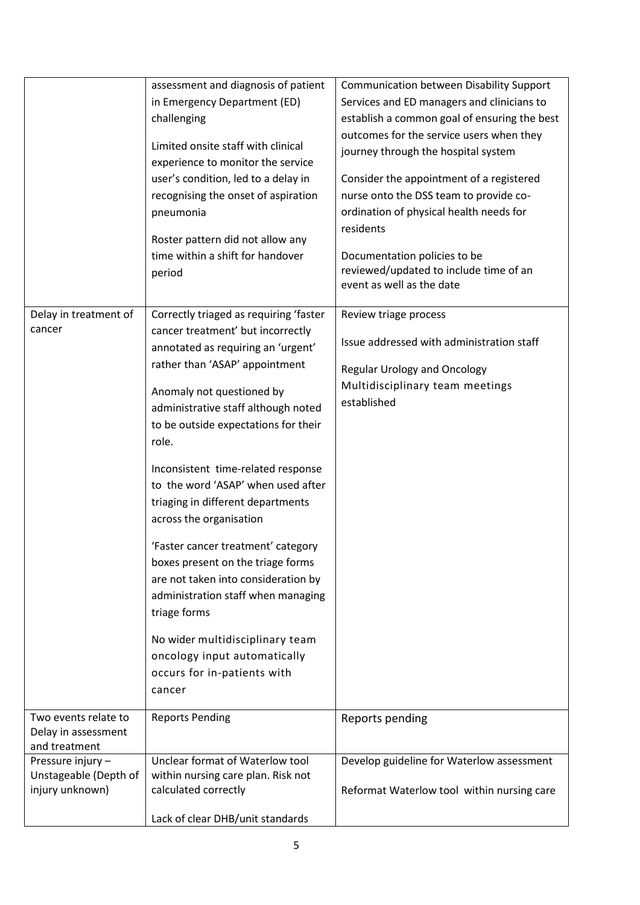|                                                               | assessment and diagnosis of patient<br>in Emergency Department (ED)<br>challenging<br>Limited onsite staff with clinical<br>experience to monitor the service<br>user's condition, led to a delay in<br>recognising the onset of aspiration<br>pneumonia<br>Roster pattern did not allow any<br>time within a shift for handover<br>period                                                                                                                                                                                                                                                                                                                                                               | Communication between Disability Support<br>Services and ED managers and clinicians to<br>establish a common goal of ensuring the best<br>outcomes for the service users when they<br>journey through the hospital system<br>Consider the appointment of a registered<br>nurse onto the DSS team to provide co-<br>ordination of physical health needs for<br>residents<br>Documentation policies to be<br>reviewed/updated to include time of an<br>event as well as the date |
|---------------------------------------------------------------|----------------------------------------------------------------------------------------------------------------------------------------------------------------------------------------------------------------------------------------------------------------------------------------------------------------------------------------------------------------------------------------------------------------------------------------------------------------------------------------------------------------------------------------------------------------------------------------------------------------------------------------------------------------------------------------------------------|--------------------------------------------------------------------------------------------------------------------------------------------------------------------------------------------------------------------------------------------------------------------------------------------------------------------------------------------------------------------------------------------------------------------------------------------------------------------------------|
| Delay in treatment of<br>cancer                               | Correctly triaged as requiring 'faster<br>cancer treatment' but incorrectly<br>annotated as requiring an 'urgent'<br>rather than 'ASAP' appointment<br>Anomaly not questioned by<br>administrative staff although noted<br>to be outside expectations for their<br>role.<br>Inconsistent time-related response<br>to the word 'ASAP' when used after<br>triaging in different departments<br>across the organisation<br>'Faster cancer treatment' category<br>boxes present on the triage forms<br>are not taken into consideration by<br>administration staff when managing<br>triage forms<br>No wider multidisciplinary team<br>oncology input automatically<br>occurs for in-patients with<br>cancer | Review triage process<br>Issue addressed with administration staff<br><b>Regular Urology and Oncology</b><br>Multidisciplinary team meetings<br>established                                                                                                                                                                                                                                                                                                                    |
| Two events relate to<br>Delay in assessment<br>and treatment  | <b>Reports Pending</b>                                                                                                                                                                                                                                                                                                                                                                                                                                                                                                                                                                                                                                                                                   | Reports pending                                                                                                                                                                                                                                                                                                                                                                                                                                                                |
| Pressure injury -<br>Unstageable (Depth of<br>injury unknown) | Unclear format of Waterlow tool<br>within nursing care plan. Risk not<br>calculated correctly<br>Lack of clear DHB/unit standards                                                                                                                                                                                                                                                                                                                                                                                                                                                                                                                                                                        | Develop guideline for Waterlow assessment<br>Reformat Waterlow tool within nursing care                                                                                                                                                                                                                                                                                                                                                                                        |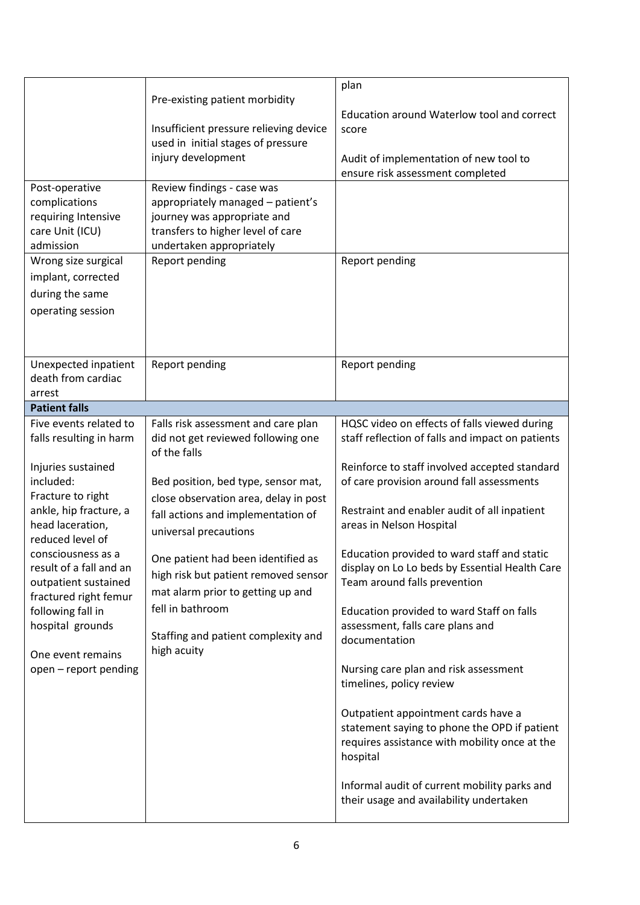| Post-operative<br>complications<br>requiring Intensive<br>care Unit (ICU)<br>admission<br>Wrong size surgical<br>implant, corrected<br>during the same<br>operating session                                                                                                                                                                                          | Pre-existing patient morbidity<br>Insufficient pressure relieving device<br>used in initial stages of pressure<br>injury development<br>Review findings - case was<br>appropriately managed - patient's<br>journey was appropriate and<br>transfers to higher level of care<br>undertaken appropriately<br>Report pending                                                                                                             | plan<br>Education around Waterlow tool and correct<br>score<br>Audit of implementation of new tool to<br>ensure risk assessment completed<br>Report pending                                                                                                                                                                                                                                                                                                                                                                                                                                                                                                                                                                                                                                                                       |
|----------------------------------------------------------------------------------------------------------------------------------------------------------------------------------------------------------------------------------------------------------------------------------------------------------------------------------------------------------------------|---------------------------------------------------------------------------------------------------------------------------------------------------------------------------------------------------------------------------------------------------------------------------------------------------------------------------------------------------------------------------------------------------------------------------------------|-----------------------------------------------------------------------------------------------------------------------------------------------------------------------------------------------------------------------------------------------------------------------------------------------------------------------------------------------------------------------------------------------------------------------------------------------------------------------------------------------------------------------------------------------------------------------------------------------------------------------------------------------------------------------------------------------------------------------------------------------------------------------------------------------------------------------------------|
| Unexpected inpatient<br>death from cardiac<br>arrest                                                                                                                                                                                                                                                                                                                 | Report pending                                                                                                                                                                                                                                                                                                                                                                                                                        | Report pending                                                                                                                                                                                                                                                                                                                                                                                                                                                                                                                                                                                                                                                                                                                                                                                                                    |
| <b>Patient falls</b>                                                                                                                                                                                                                                                                                                                                                 |                                                                                                                                                                                                                                                                                                                                                                                                                                       |                                                                                                                                                                                                                                                                                                                                                                                                                                                                                                                                                                                                                                                                                                                                                                                                                                   |
| Five events related to<br>falls resulting in harm<br>Injuries sustained<br>included:<br>Fracture to right<br>ankle, hip fracture, a<br>head laceration,<br>reduced level of<br>consciousness as a<br>result of a fall and an<br>outpatient sustained<br>fractured right femur<br>following fall in<br>hospital grounds<br>One event remains<br>open - report pending | Falls risk assessment and care plan<br>did not get reviewed following one<br>of the falls<br>Bed position, bed type, sensor mat,<br>close observation area, delay in post<br>fall actions and implementation of<br>universal precautions<br>One patient had been identified as<br>high risk but patient removed sensor<br>mat alarm prior to getting up and<br>fell in bathroom<br>Staffing and patient complexity and<br>high acuity | HQSC video on effects of falls viewed during<br>staff reflection of falls and impact on patients<br>Reinforce to staff involved accepted standard<br>of care provision around fall assessments<br>Restraint and enabler audit of all inpatient<br>areas in Nelson Hospital<br>Education provided to ward staff and static<br>display on Lo Lo beds by Essential Health Care<br>Team around falls prevention<br>Education provided to ward Staff on falls<br>assessment, falls care plans and<br>documentation<br>Nursing care plan and risk assessment<br>timelines, policy review<br>Outpatient appointment cards have a<br>statement saying to phone the OPD if patient<br>requires assistance with mobility once at the<br>hospital<br>Informal audit of current mobility parks and<br>their usage and availability undertaken |